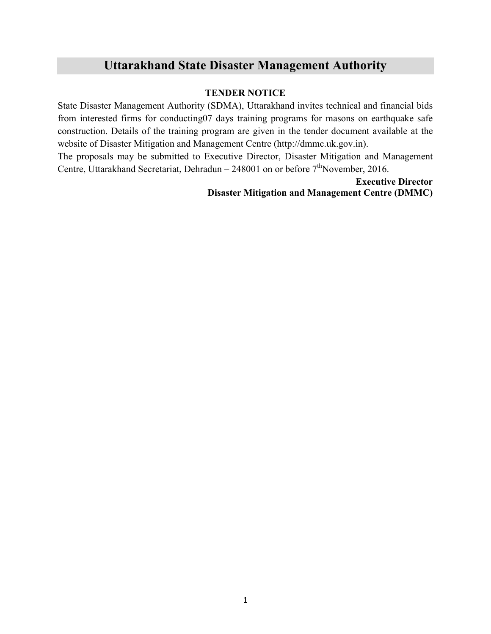# **Uttarakhand State Disaster Management Authority**

### **TENDER NOTICE**

State Disaster Management Authority (SDMA), Uttarakhand invites technical and financial bids from interested firms for conducting07 days training programs for masons on earthquake safe construction. Details of the training program are given in the tender document available at the website of Disaster Mitigation and Management Centre (http://dmmc.uk.gov.in).

The proposals may be submitted to Executive Director, Disaster Mitigation and Management Centre, Uttarakhand Secretariat, Dehradun – 248001 on or before  $7<sup>th</sup>$ November, 2016.

> **Executive Director Disaster Mitigation and Management Centre (DMMC)**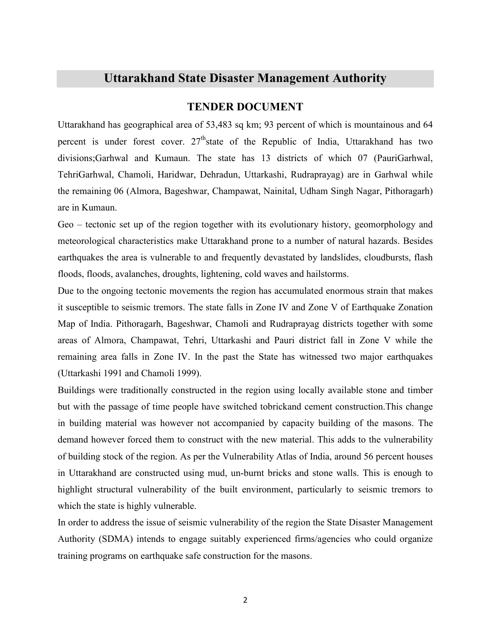## **Uttarakhand State Disaster Management Authority**

#### **TENDER DOCUMENT**

Uttarakhand has geographical area of 53,483 sq km; 93 percent of which is mountainous and 64 percent is under forest cover.  $27<sup>th</sup>$  state of the Republic of India, Uttarakhand has two divisions;Garhwal and Kumaun. The state has 13 districts of which 07 (PauriGarhwal, TehriGarhwal, Chamoli, Haridwar, Dehradun, Uttarkashi, Rudraprayag) are in Garhwal while the remaining 06 (Almora, Bageshwar, Champawat, Nainital, Udham Singh Nagar, Pithoragarh) are in Kumaun.

Geo – tectonic set up of the region together with its evolutionary history, geomorphology and meteorological characteristics make Uttarakhand prone to a number of natural hazards. Besides earthquakes the area is vulnerable to and frequently devastated by landslides, cloudbursts, flash floods, floods, avalanches, droughts, lightening, cold waves and hailstorms.

Due to the ongoing tectonic movements the region has accumulated enormous strain that makes it susceptible to seismic tremors. The state falls in Zone IV and Zone V of Earthquake Zonation Map of India. Pithoragarh, Bageshwar, Chamoli and Rudraprayag districts together with some areas of Almora, Champawat, Tehri, Uttarkashi and Pauri district fall in Zone V while the remaining area falls in Zone IV. In the past the State has witnessed two major earthquakes (Uttarkashi 1991 and Chamoli 1999).

Buildings were traditionally constructed in the region using locally available stone and timber but with the passage of time people have switched tobrickand cement construction.This change in building material was however not accompanied by capacity building of the masons. The demand however forced them to construct with the new material. This adds to the vulnerability of building stock of the region. As per the Vulnerability Atlas of India, around 56 percent houses in Uttarakhand are constructed using mud, un-burnt bricks and stone walls. This is enough to highlight structural vulnerability of the built environment, particularly to seismic tremors to which the state is highly vulnerable.

In order to address the issue of seismic vulnerability of the region the State Disaster Management Authority (SDMA) intends to engage suitably experienced firms/agencies who could organize training programs on earthquake safe construction for the masons.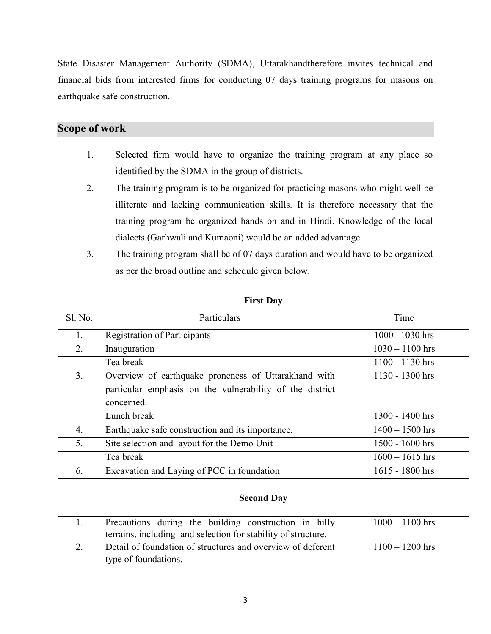State Disaster Management Authority (SDMA), Uttarakhandtherefore invites technical and financial bids from interested firms for conducting 07 days training programs for masons on earthquake safe construction.

## **Scope of work**

- 1. Selected firm would have to organize the training program at any place so identified by the SDMA in the group of districts.
- 2. The training program is to be organized for practicing masons who might well be illiterate and lacking communication skills. It is therefore necessary that the training program be organized hands on and in Hindi. Knowledge of the local dialects (Garhwali and Kumaoni) would be an added advantage.
- 3. The training program shall be of 07 days duration and would have to be organized as per the broad outline and schedule given below.

| <b>First Day</b> |                                                                                                                                |                   |  |  |
|------------------|--------------------------------------------------------------------------------------------------------------------------------|-------------------|--|--|
| S1. No.          | Particulars                                                                                                                    | Time              |  |  |
| 1.               | <b>Registration of Participants</b>                                                                                            | $1000 - 1030$ hrs |  |  |
| 2.               | Inauguration                                                                                                                   | $1030 - 1100$ hrs |  |  |
|                  | Tea break                                                                                                                      | $1100 - 1130$ hrs |  |  |
| 3 <sub>1</sub>   | Overview of earthquake proneness of Uttarakhand with<br>particular emphasis on the vulnerability of the district<br>concerned. | 1130 - 1300 hrs   |  |  |
|                  | Lunch break                                                                                                                    | 1300 - 1400 hrs   |  |  |
| $\overline{4}$ . | Earthquake safe construction and its importance.                                                                               | $1400 - 1500$ hrs |  |  |
| 5.               | Site selection and layout for the Demo Unit                                                                                    | 1500 - 1600 hrs   |  |  |
|                  | Tea break                                                                                                                      | $1600 - 1615$ hrs |  |  |
| 6.               | Excavation and Laying of PCC in foundation                                                                                     | $1615 - 1800$ hrs |  |  |

| <b>Second Day</b> |                                                                                                                         |                   |  |  |
|-------------------|-------------------------------------------------------------------------------------------------------------------------|-------------------|--|--|
|                   | Precautions during the building construction in hilly<br>terrains, including land selection for stability of structure. | $1000 - 1100$ hrs |  |  |
|                   | Detail of foundation of structures and overview of deferent<br>type of foundations.                                     | $1100 - 1200$ hrs |  |  |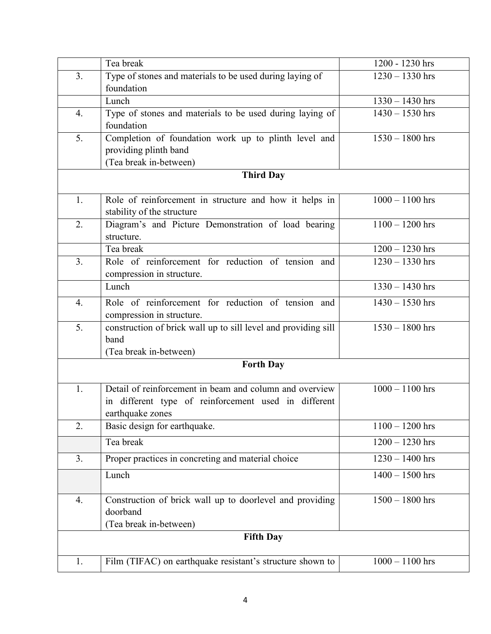|                                            | Tea break                                                      | 1200 - 1230 hrs              |  |  |
|--------------------------------------------|----------------------------------------------------------------|------------------------------|--|--|
| 3 <sub>1</sub>                             | Type of stones and materials to be used during laying of       | $\overline{1230} - 1330$ hrs |  |  |
|                                            | foundation                                                     |                              |  |  |
|                                            | Lunch                                                          | $1330 - 1430$ hrs            |  |  |
| 4.                                         | Type of stones and materials to be used during laying of       | $1430 - 1530$ hrs            |  |  |
|                                            | foundation                                                     |                              |  |  |
| 5.                                         | Completion of foundation work up to plinth level and           | $1530 - 1800$ hrs            |  |  |
|                                            | providing plinth band                                          |                              |  |  |
|                                            | (Tea break in-between)                                         |                              |  |  |
|                                            | <b>Third Day</b>                                               |                              |  |  |
| 1.                                         | Role of reinforcement in structure and how it helps in         | $1000 - 1100$ hrs            |  |  |
|                                            | stability of the structure                                     |                              |  |  |
| 2.                                         | Diagram's and Picture Demonstration of load bearing            | $1100 - 1200$ hrs            |  |  |
|                                            | structure.                                                     |                              |  |  |
|                                            | Tea break                                                      | $\frac{1200 - 1230}{n}$ hrs  |  |  |
| 3.                                         | Role of reinforcement for reduction of tension and             | $1230 - 1330$ hrs            |  |  |
|                                            | compression in structure.                                      |                              |  |  |
|                                            | Lunch                                                          | $1330 - 1430$ hrs            |  |  |
| 4.                                         | Role of reinforcement for reduction of tension and             | $1430 - 1530$ hrs            |  |  |
|                                            | compression in structure.                                      |                              |  |  |
| 5.                                         | construction of brick wall up to sill level and providing sill | $1530 - 1800$ hrs            |  |  |
|                                            | band                                                           |                              |  |  |
|                                            | (Tea break in-between)                                         |                              |  |  |
|                                            | <b>Forth Day</b>                                               |                              |  |  |
| 1.                                         | Detail of reinforcement in beam and column and overview        | $1000 - 1100$ hrs            |  |  |
|                                            | in different type of reinforcement used in different           |                              |  |  |
|                                            | earthquake zones                                               |                              |  |  |
| 2.                                         | Basic design for earthquake.                                   | $1100 - 1200$ hrs            |  |  |
|                                            | Tea break                                                      | $1200 - 1230$ hrs            |  |  |
| 3 <sub>1</sub>                             | Proper practices in concreting and material choice             | $\overline{1230} - 1400$ hrs |  |  |
|                                            | Lunch                                                          | $1400 - 1500$ hrs            |  |  |
|                                            |                                                                |                              |  |  |
| 4.                                         | Construction of brick wall up to doorlevel and providing       | $1500 - 1800$ hrs            |  |  |
|                                            | doorband                                                       |                              |  |  |
| (Tea break in-between)<br><b>Fifth Day</b> |                                                                |                              |  |  |
|                                            |                                                                |                              |  |  |
| 1.                                         | Film (TIFAC) on earthquake resistant's structure shown to      | $1000 - 1100$ hrs            |  |  |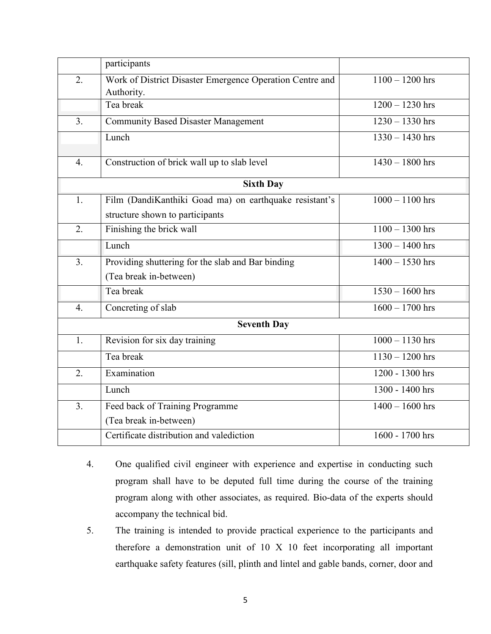|                    | participants                                                           |                   |  |  |
|--------------------|------------------------------------------------------------------------|-------------------|--|--|
| 2.                 | Work of District Disaster Emergence Operation Centre and<br>Authority. | $1100 - 1200$ hrs |  |  |
|                    | Tea break                                                              | $1200 - 1230$ hrs |  |  |
| 3 <sub>1</sub>     | <b>Community Based Disaster Management</b>                             | $1230 - 1330$ hrs |  |  |
|                    | Lunch                                                                  | $1330 - 1430$ hrs |  |  |
| $\overline{4}$ .   | Construction of brick wall up to slab level                            | $1430 - 1800$ hrs |  |  |
| <b>Sixth Day</b>   |                                                                        |                   |  |  |
| 1.                 | Film (DandiKanthiki Goad ma) on earthquake resistant's                 | $1000 - 1100$ hrs |  |  |
|                    | structure shown to participants                                        |                   |  |  |
| 2.                 | Finishing the brick wall                                               | $1100 - 1300$ hrs |  |  |
|                    | Lunch                                                                  | $1300 - 1400$ hrs |  |  |
| 3 <sub>1</sub>     | Providing shuttering for the slab and Bar binding                      | $1400 - 1530$ hrs |  |  |
|                    | (Tea break in-between)                                                 |                   |  |  |
|                    | Tea break                                                              | $1530 - 1600$ hrs |  |  |
| $\overline{4}$ .   | Concreting of slab                                                     | $1600 - 1700$ hrs |  |  |
| <b>Seventh Day</b> |                                                                        |                   |  |  |
| 1.                 | Revision for six day training                                          | $1000 - 1130$ hrs |  |  |
|                    | Tea break                                                              | $1130 - 1200$ hrs |  |  |
| $\overline{2}$ .   | Examination                                                            | 1200 - 1300 hrs   |  |  |
|                    | Lunch                                                                  | 1300 - 1400 hrs   |  |  |
| 3 <sub>1</sub>     | Feed back of Training Programme                                        | $1400 - 1600$ hrs |  |  |
|                    | (Tea break in-between)                                                 |                   |  |  |
|                    | Certificate distribution and valediction                               | 1600 - 1700 hrs   |  |  |

- 4. One qualified civil engineer with experience and expertise in conducting such program shall have to be deputed full time during the course of the training program along with other associates, as required. Bio-data of the experts should accompany the technical bid.
- 5. The training is intended to provide practical experience to the participants and therefore a demonstration unit of 10 X 10 feet incorporating all important earthquake safety features (sill, plinth and lintel and gable bands, corner, door and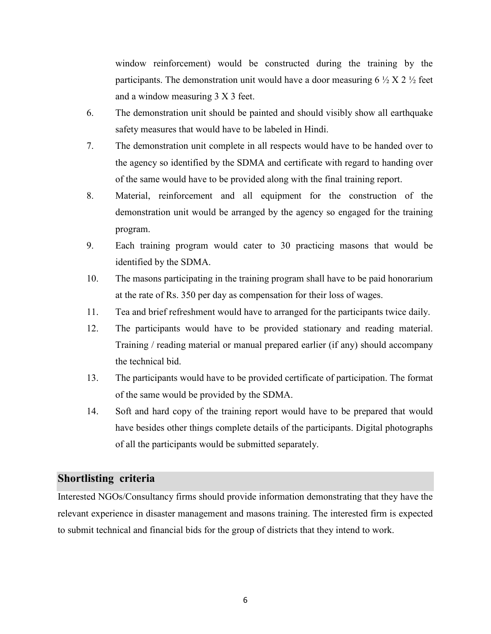window reinforcement) would be constructed during the training by the participants. The demonstration unit would have a door measuring 6  $\frac{1}{2}$  X 2  $\frac{1}{2}$  feet and a window measuring 3 X 3 feet.

- 6. The demonstration unit should be painted and should visibly show all earthquake safety measures that would have to be labeled in Hindi.
- 7. The demonstration unit complete in all respects would have to be handed over to the agency so identified by the SDMA and certificate with regard to handing over of the same would have to be provided along with the final training report.
- 8. Material, reinforcement and all equipment for the construction of the demonstration unit would be arranged by the agency so engaged for the training program.
- 9. Each training program would cater to 30 practicing masons that would be identified by the SDMA.
- 10. The masons participating in the training program shall have to be paid honorarium at the rate of Rs. 350 per day as compensation for their loss of wages.
- 11. Tea and brief refreshment would have to arranged for the participants twice daily.
- 12. The participants would have to be provided stationary and reading material. Training / reading material or manual prepared earlier (if any) should accompany the technical bid.
- 13. The participants would have to be provided certificate of participation. The format of the same would be provided by the SDMA.
- 14. Soft and hard copy of the training report would have to be prepared that would have besides other things complete details of the participants. Digital photographs of all the participants would be submitted separately.

### **Shortlisting criteria**

Interested NGOs/Consultancy firms should provide information demonstrating that they have the relevant experience in disaster management and masons training. The interested firm is expected to submit technical and financial bids for the group of districts that they intend to work.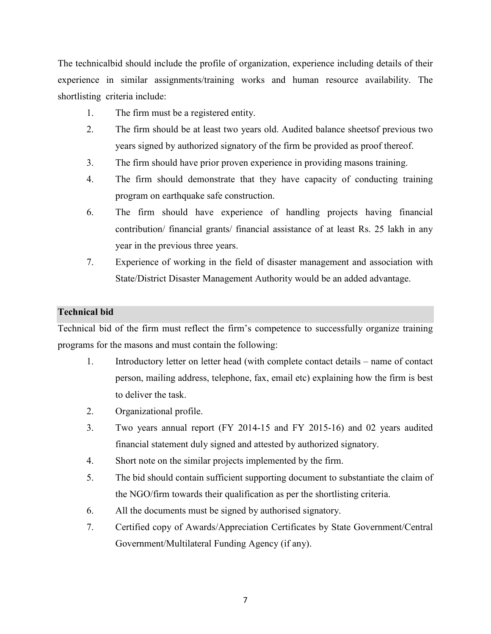The technicalbid should include the profile of organization, experience including details of their experience in similar assignments/training works and human resource availability. The shortlisting criteria include:

- 1. The firm must be a registered entity.
- 2. The firm should be at least two years old. Audited balance sheetsof previous two years signed by authorized signatory of the firm be provided as proof thereof.
- 3. The firm should have prior proven experience in providing masons training.
- 4. The firm should demonstrate that they have capacity of conducting training program on earthquake safe construction.
- 6. The firm should have experience of handling projects having financial contribution/ financial grants/ financial assistance of at least Rs. 25 lakh in any year in the previous three years.
- 7. Experience of working in the field of disaster management and association with State/District Disaster Management Authority would be an added advantage.

#### **Technical bid**

Technical bid of the firm must reflect the firm's competence to successfully organize training programs for the masons and must contain the following:

- 1. Introductory letter on letter head (with complete contact details name of contact person, mailing address, telephone, fax, email etc) explaining how the firm is best to deliver the task.
- 2. Organizational profile.
- 3. Two years annual report (FY 2014-15 and FY 2015-16) and 02 years audited financial statement duly signed and attested by authorized signatory.
- 4. Short note on the similar projects implemented by the firm.
- 5. The bid should contain sufficient supporting document to substantiate the claim of the NGO/firm towards their qualification as per the shortlisting criteria.
- 6. All the documents must be signed by authorised signatory.
- 7. Certified copy of Awards/Appreciation Certificates by State Government/Central Government/Multilateral Funding Agency (if any).